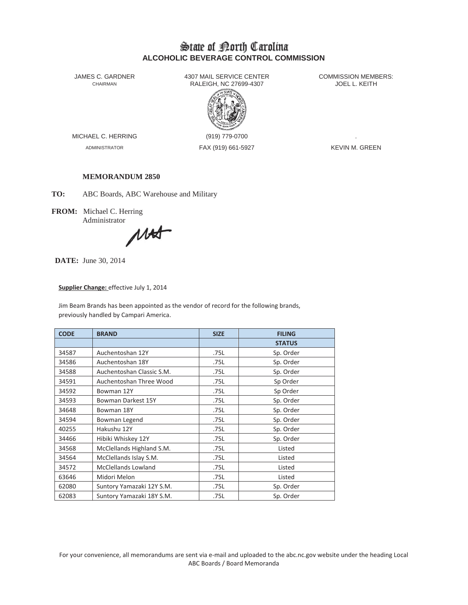# State of Borth Carolina **ALCOHOLIC BEVERAGE CONTROL COMMISSION**

JAMES C. GARDNER 4307 MAIL SERVICE CENTER<br>CHAIRMAN CHAIRMAN RALEIGH, NC 27699-4307 RALEIGH, NC 27699-4307



MICHAEL C. HERRING (919) 779-0700

ADMINISTRATOR FAX (919) 661-5927 KEVIN M. GREEN

## **MEMORANDUM 2850**

**TO:** ABC Boards, ABC Warehouse and Military

**FROM:** Michael C. Herring Administrator

MAT

**DATE:** June 30, 2014

### **Supplier Change:** effective July 1, 2014

Jim Beam Brands has been appointed as the vendor of record for the following brands, previously handled by Campari America.

| <b>CODE</b> | <b>BRAND</b>               | <b>SIZE</b> | <b>FILING</b> |  |
|-------------|----------------------------|-------------|---------------|--|
|             |                            |             | <b>STATUS</b> |  |
| 34587       | Auchentoshan 12Y           | .75L        | Sp. Order     |  |
| 34586       | Auchentoshan 18Y           | .75L        | Sp. Order     |  |
| 34588       | Auchentoshan Classic S.M.  | .75L        | Sp. Order     |  |
| 34591       | Auchentoshan Three Wood    | .75L        | Sp Order      |  |
| 34592       | Bowman 12Y                 | .75L        | Sp Order      |  |
| 34593       | Bowman Darkest 15Y         | .75L        | Sp. Order     |  |
| 34648       | Bowman 18Y                 | .75L        | Sp. Order     |  |
| 34594       | Bowman Legend              | .75L        | Sp. Order     |  |
| 40255       | Hakushu 12Y                | .75L        | Sp. Order     |  |
| 34466       | Hibiki Whiskey 12Y         | .75L        | Sp. Order     |  |
| 34568       | McClellands Highland S.M.  | .75L        | Listed        |  |
| 34564       | McClellands Islay S.M.     | .75L        | Listed        |  |
| 34572       | <b>McClellands Lowland</b> | .75L        | Listed        |  |
| 63646       | Midori Melon               | .75L        | Listed        |  |
| 62080       | Suntory Yamazaki 12Y S.M.  | .75L        | Sp. Order     |  |
| 62083       | Suntory Yamazaki 18Y S.M.  | .75L        | Sp. Order     |  |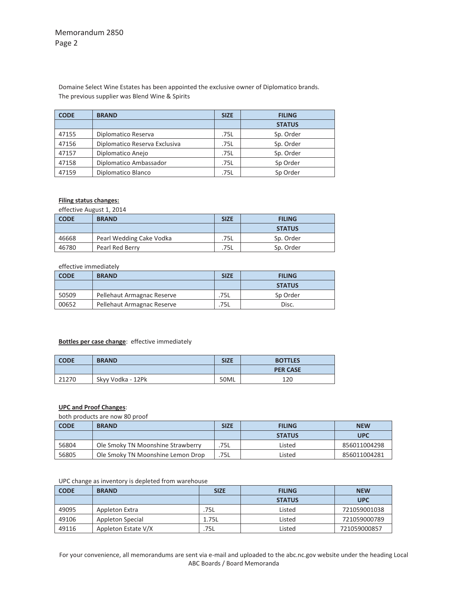## Memorandum 2850 Page 2

Domaine Select Wine Estates has been appointed the exclusive owner of Diplomatico brands. The previous supplier was Blend Wine & Spirits

| <b>CODE</b> | <b>BRAND</b>                  | <b>SIZE</b> | <b>FILING</b> |  |
|-------------|-------------------------------|-------------|---------------|--|
|             |                               |             | <b>STATUS</b> |  |
| 47155       | Diplomatico Reserva           | .75L        | Sp. Order     |  |
| 47156       | Diplomatico Reserva Exclusiva | .75L        | Sp. Order     |  |
| 47157       | Diplomatico Anejo             | .75L        | Sp. Order     |  |
| 47158       | Diplomatico Ambassador        | .75L        | Sp Order      |  |
| 47159       | Diplomatico Blanco            | .75L        | Sp Order      |  |

#### **Filing status changes:**

effective August 1, 2014

| <b>CODE</b> | <b>BRAND</b>             | <b>SIZE</b><br><b>FILING</b> |               |
|-------------|--------------------------|------------------------------|---------------|
|             |                          |                              | <b>STATUS</b> |
| 46668       | Pearl Wedding Cake Vodka | .75L                         | Sp. Order     |
| 46780       | Pearl Red Berry          | .75L                         | Sp. Order     |

#### effective immediately

| <b>CODE</b> | <b>BRAND</b>               | <b>SIZE</b> | <b>FILING</b> |
|-------------|----------------------------|-------------|---------------|
|             |                            |             | <b>STATUS</b> |
| 50509       | Pellehaut Armagnac Reserve | .75L        | Sp Order      |
| 00652       | Pellehaut Armagnac Reserve | 75L         | Disc.         |

## **Bottles per case change**: effective immediately

| <b>CODE</b> | <b>BRAND</b>      | <b>SIZE</b><br><b>BOTTLES</b> |                 |
|-------------|-------------------|-------------------------------|-----------------|
|             |                   |                               | <b>PER CASE</b> |
| 21270       | Skyy Vodka - 12Pk | 50ML                          | 120             |

## **UPC and Proof Changes**:

both products are now 80 proof

| <b>CODE</b> | <b>BRAND</b>                      | <b>SIZE</b> | <b>FILING</b> | <b>NEW</b>   |
|-------------|-----------------------------------|-------------|---------------|--------------|
|             |                                   |             | <b>STATUS</b> | <b>UPC</b>   |
| 56804       | Ole Smoky TN Moonshine Strawberry | 75L         | Listed        | 856011004298 |
| 56805       | Ole Smoky TN Moonshine Lemon Drop | .75L        | Listed        | 856011004281 |

#### UPC change as inventory is depleted from warehouse

| <b>CODE</b> | <b>BRAND</b>        | <b>SIZE</b> | <b>FILING</b> | <b>NEW</b>   |
|-------------|---------------------|-------------|---------------|--------------|
|             |                     |             | <b>STATUS</b> | <b>UPC</b>   |
| 49095       | Appleton Extra      | .75L        | Listed        | 721059001038 |
| 49106       | Appleton Special    | 1.75L       | Listed        | 721059000789 |
| 49116       | Appleton Estate V/X | .75L        | Listed        | 721059000857 |

For your convenience, all memorandums are sent via e-mail and uploaded to the abc.nc.gov website under the heading Local ABC Boards / Board Memoranda